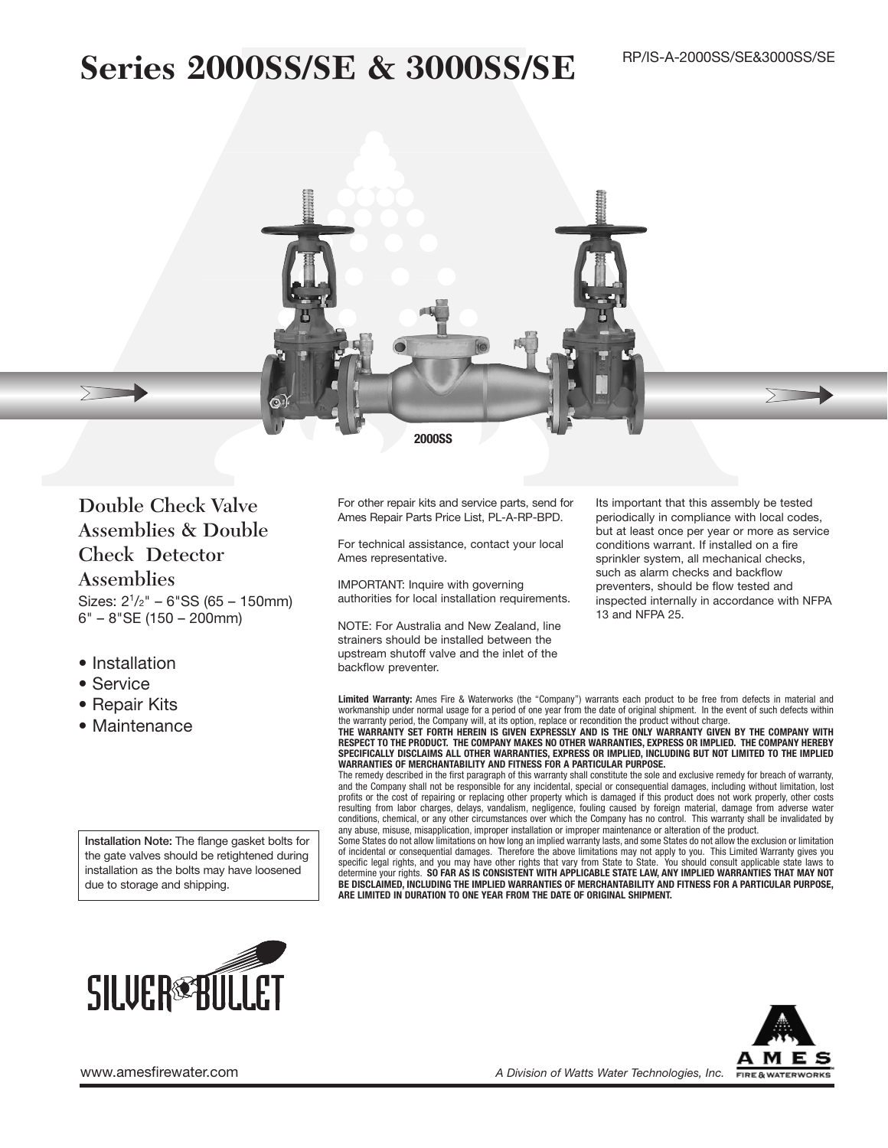# **Series 2000SS/SE & 3000SS/SE**



Double Check Valve Assemblies & Double Check Detector

Assemblies Sizes: 21/2" – 6"SS (65 – 150mm) 6" – 8"SE (150 – 200mm)

- Installation
- Service
- Repair Kits
- Maintenance

**Installation Note:** The flange gasket bolts for the gate valves should be retightened during installation as the bolts may have loosened due to storage and shipping.

**SILVER®BULLET** 

For other repair kits and service parts, send for Ames Repair Parts Price List, PL-A-RP-BPD.

For technical assistance, contact your local Ames representative.

IMPORTANT: Inquire with governing authorities for local installation requirements.

NOTE: For Australia and New Zealand, line strainers should be installed between the upstream shutoff valve and the inlet of the backflow preventer.

Its important that this assembly be tested periodically in compliance with local codes, but at least once per year or more as service conditions warrant. If installed on a fire sprinkler system, all mechanical checks, such as alarm checks and backflow preventers, should be flow tested and inspected internally in accordance with NFPA 13 and NFPA 25.

**Limited Warranty:** Ames Fire & Waterworks (the "Company") warrants each product to be free from defects in material and workmanship under normal usage for a period of one year from the date of original shipment. In the event of such defects within

the warranty period, the Company will, at its option, replace or recondition the product without charge.<br>**THE WARRANTY SET FORTH HEREIN IS GIVEN EXPRESSLY AND IS THE ONLY WARRANTY GIVEN BY THE COMPANY WITH RESPECT TO THE PRODUCT. THE COMPANY MAKES NO OTHER WARRANTIES, EXPRESS OR IMPLIED. THE COMPANY HEREBY SPECIFICALLY DISCLAIMS ALL OTHER WARRANTIES, EXPRESS OR IMPLIED, INCLUDING BUT NOT LIMITED TO THE IMPLIED WARRANTIES OF MERCHANTABILITY AND FITNESS FOR A PARTICULAR PURPOSE.**

The remedy described in the first paragraph of this warranty shall constitute the sole and exclusive remedy for breach of warranty, and the Company shall not be responsible for any incidental, special or consequential damages, including without limitation, lost profits or the cost of repairing or replacing other property which is damaged if this product does not work properly, other costs<br>resulting from labor charges, delays, vandalism, negligence, fouling caused by foreign mater conditions, chemical, or any other circumstances over which the Company has no control. This warranty shall be invalidated by any abuse, misuse, misapplication, improper installation or improper maintenance or alteration of the product.

Some States do not allow limitations on how long an implied warranty lasts, and some States do not allow the exclusion or limitation of incidental or consequential damages. Therefore the above limitations may not apply to you. This Limited Warranty gives you specific legal rights, and you may have other rights that vary from State to State. You should consult applicable state laws to<br>determine your rights. **SO FAR AS IS CONSISTENT WITH APPLICABLE STATE LAW, ANY IMPLIED WARRA BE DISCLAIMED, INCLUDING THE IMPLIED WARRANTIES OF MERCHANTABILITY AND FITNESS FOR A PARTICULAR PURPOSE, ARE LIMITED IN DURATION TO ONE YEAR FROM THE DATE OF ORIGINAL SHIPMENT.**

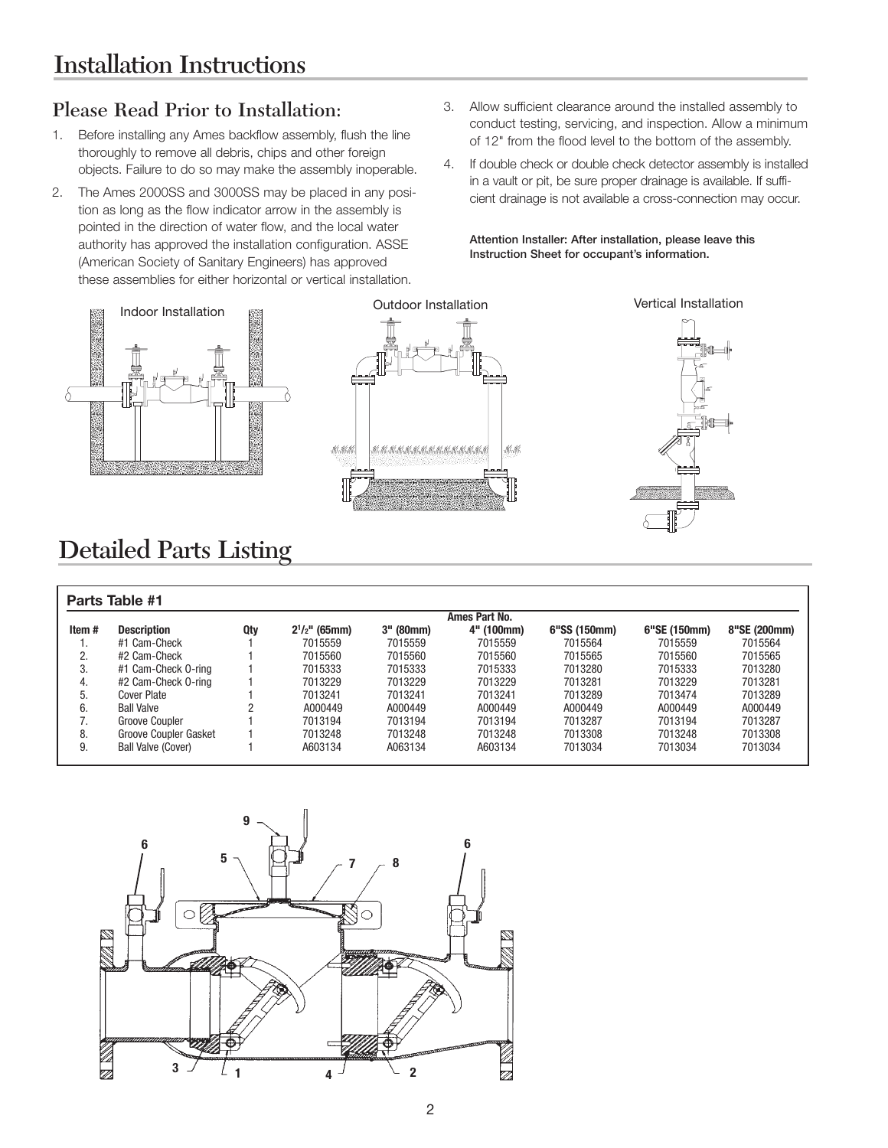## Please Read Prior to Installation:

- 1. Before installing any Ames backflow assembly, flush the line thoroughly to remove all debris, chips and other foreign objects. Failure to do so may make the assembly inoperable.
- 2. The Ames 2000SS and 3000SS may be placed in any position as long as the flow indicator arrow in the assembly is pointed in the direction of water flow, and the local water authority has approved the installation configuration. ASSE (American Society of Sanitary Engineers) has approved these assemblies for either horizontal or vertical installation.
- 3. Allow sufficient clearance around the installed assembly to conduct testing, servicing, and inspection. Allow a minimum of 12" from the flood level to the bottom of the assembly.
- 4. If double check or double check detector assembly is installed in a vault or pit, be sure proper drainage is available. If sufficient drainage is not available a cross-connection may occur.

**Attention Installer: After installation, please leave this Instruction Sheet for occupant's information.**



## Detailed Parts Listing

|       |                           | Ames Part No. |                    |           |            |              |              |              |
|-------|---------------------------|---------------|--------------------|-----------|------------|--------------|--------------|--------------|
| Item# | <b>Description</b>        | Qty           | $2^{1}/2$ " (65mm) | 3" (80mm) | 4" (100mm) | 6"SS (150mm) | 6"SE (150mm) | 8"SE (200mm) |
| ι.    | #1 Cam-Check              |               | 7015559            | 7015559   | 7015559    | 7015564      | 7015559      | 7015564      |
| 2.    | #2 Cam-Check              |               | 7015560            | 7015560   | 7015560    | 7015565      | 7015560      | 7015565      |
| 3.    | #1 Cam-Check 0-ring       |               | 7015333            | 7015333   | 7015333    | 7013280      | 7015333      | 7013280      |
| 4.    | #2 Cam-Check 0-ring       |               | 7013229            | 7013229   | 7013229    | 7013281      | 7013229      | 7013281      |
| 5.    | Cover Plate               |               | 7013241            | 7013241   | 7013241    | 7013289      | 7013474      | 7013289      |
| 6.    | <b>Ball Valve</b>         |               | A000449            | A000449   | A000449    | A000449      | A000449      | A000449      |
|       | Groove Coupler            |               | 7013194            | 7013194   | 7013194    | 7013287      | 7013194      | 7013287      |
| 8.    | Groove Coupler Gasket     |               | 7013248            | 7013248   | 7013248    | 7013308      | 7013248      | 7013308      |
| 9.    | <b>Ball Valve (Cover)</b> |               | A603134            | A063134   | A603134    | 7013034      | 7013034      | 7013034      |

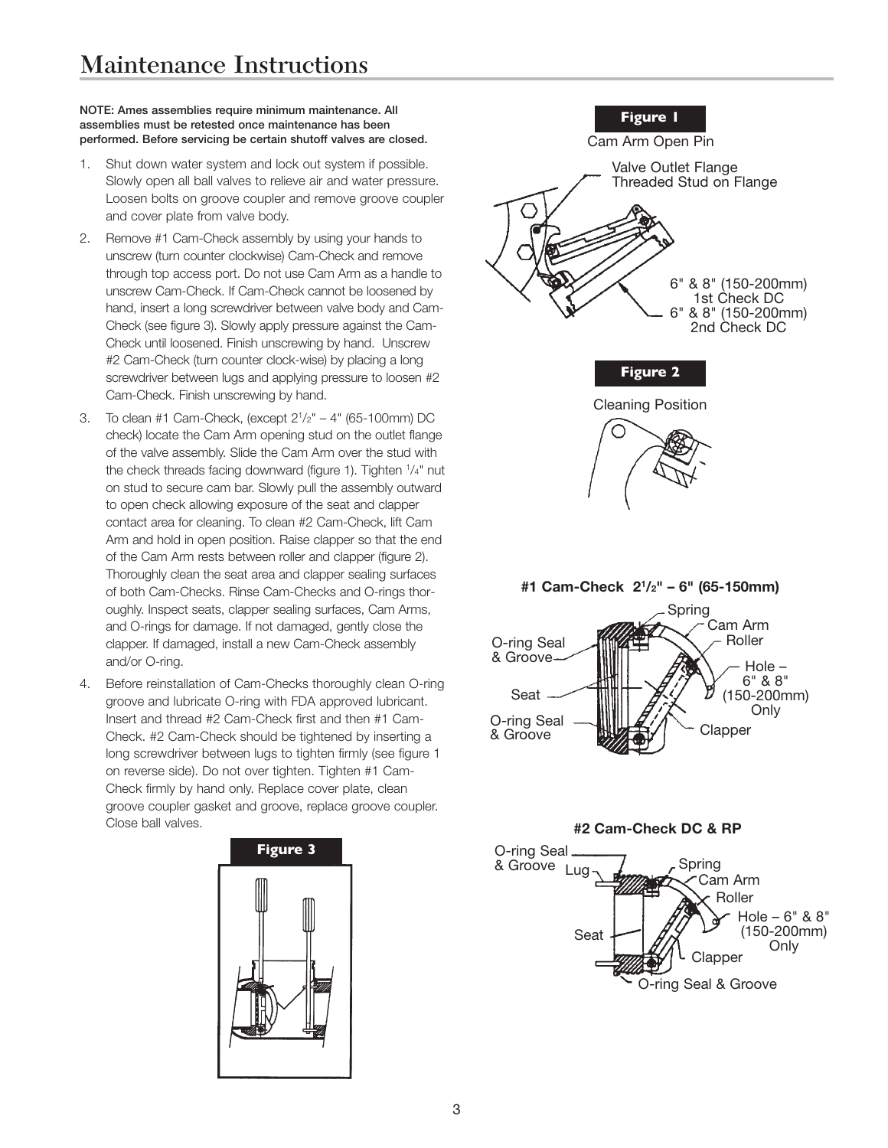#### **NOTE: Ames assemblies require minimum maintenance. All assemblies must be retested once maintenance has been performed. Before servicing be certain shutoff valves are closed.**

- 1. Shut down water system and lock out system if possible. Slowly open all ball valves to relieve air and water pressure. Loosen bolts on groove coupler and remove groove coupler and cover plate from valve body.
- 2. Remove #1 Cam-Check assembly by using your hands to unscrew (turn counter clockwise) Cam-Check and remove through top access port. Do not use Cam Arm as a handle to unscrew Cam-Check. If Cam-Check cannot be loosened by hand, insert a long screwdriver between valve body and Cam-Check (see figure 3). Slowly apply pressure against the Cam-Check until loosened. Finish unscrewing by hand. Unscrew #2 Cam-Check (turn counter clock-wise) by placing a long screwdriver between lugs and applying pressure to loosen #2 Cam-Check. Finish unscrewing by hand.
- 3. To clean #1 Cam-Check, (except  $2^{1}/2" 4"$  (65-100mm) DC check) locate the Cam Arm opening stud on the outlet flange of the valve assembly. Slide the Cam Arm over the stud with the check threads facing downward (figure 1). Tighten  $1/4$ " nut on stud to secure cam bar. Slowly pull the assembly outward to open check allowing exposure of the seat and clapper contact area for cleaning. To clean #2 Cam-Check, lift Cam Arm and hold in open position. Raise clapper so that the end of the Cam Arm rests between roller and clapper (figure 2). Thoroughly clean the seat area and clapper sealing surfaces of both Cam-Checks. Rinse Cam-Checks and O-rings thoroughly. Inspect seats, clapper sealing surfaces, Cam Arms, and O-rings for damage. If not damaged, gently close the clapper. If damaged, install a new Cam-Check assembly and/or O-ring.
- 4. Before reinstallation of Cam-Checks thoroughly clean O-ring groove and lubricate O-ring with FDA approved lubricant. Insert and thread #2 Cam-Check first and then #1 Cam-Check. #2 Cam-Check should be tightened by inserting a long screwdriver between lugs to tighten firmly (see figure 1 on reverse side). Do not over tighten. Tighten #1 Cam-Check firmly by hand only. Replace cover plate, clean groove coupler gasket and groove, replace groove coupler. Close ball valves.